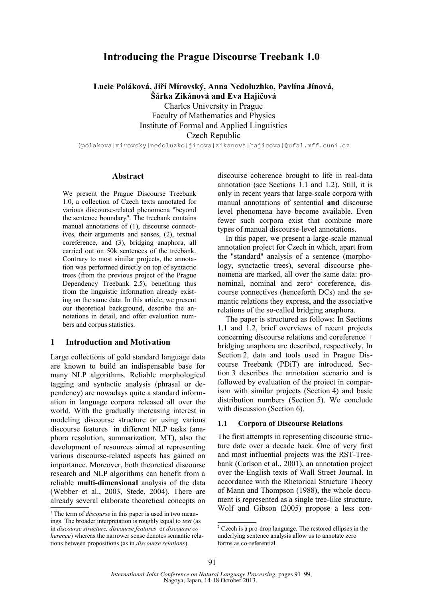# **Introducing the Prague Discourse Treebank 1.0**

**Lucie Poláková, Jiří Mírovský, Anna Nedoluzhko, Pavlína Jínová,**

**Šárka Zikánová and Eva Hajičová**

Charles University in Prague Faculty of Mathematics and Physics Institute of Formal and Applied Linguistics Czech Republic

{polakova|mirovsky|nedoluzko|jinova|zikanova|hajicova}@ufal.mff.cuni.cz

### **Abstract**

We present the Prague Discourse Treebank 1.0, a collection of Czech texts annotated for various discourse-related phenomena "beyond the sentence boundary". The treebank contains manual annotations of (1), discourse connectives, their arguments and senses, (2), textual coreference, and (3), bridging anaphora, all carried out on 50k sentences of the treebank. Contrary to most similar projects, the annotation was performed directly on top of syntactic trees (from the previous project of the Prague Dependency Treebank 2.5), benefiting thus from the linguistic information already existing on the same data. In this article, we present our theoretical background, describe the annotations in detail, and offer evaluation numbers and corpus statistics.

#### **1 Introduction and Motivation**

Large collections of gold standard language data are known to build an indispensable base for many NLP algorithms. Reliable morphological tagging and syntactic analysis (phrasal or dependency) are nowadays quite a standard information in language corpora released all over the world. With the gradually increasing interest in modeling discourse structure or using various discourse features<sup>1</sup> in different NLP tasks (anaphora resolution, summarization, MT), also the development of resources aimed at representing various discourse-related aspects has gained on importance. Moreover, both theoretical discourse research and NLP algorithms can benefit from a reliable **multi-dimensional** analysis of the data (Webber et al., 2003, Stede, 2004). There are already several elaborate theoretical concepts on discourse coherence brought to life in real-data annotation (see Sections 1.1 and 1.2). Still, it is only in recent years that large-scale corpora with manual annotations of sentential **and** discourse level phenomena have become available. Even fewer such corpora exist that combine more types of manual discourse-level annotations.

In this paper, we present a large-scale manual annotation project for Czech in which, apart from the "standard" analysis of a sentence (morphology, synctactic trees), several discourse phenomena are marked, all over the same data: pronominal, nominal and zero<sup>2</sup> coreference, discourse connectives (henceforth DCs) and the semantic relations they express, and the associative relations of the so-called bridging anaphora.

The paper is structured as follows: In Sections 1.1 and 1.2, brief overviews of recent projects concerning discourse relations and coreference + bridging anaphora are described, respectively. In Section 2, data and tools used in Prague Discourse Treebank (PDiT) are introduced. Section 3 describes the annotation scenario and is followed by evaluation of the project in comparison with similar projects (Section 4) and basic distribution numbers (Section 5). We conclude with discussion (Section 6).

#### **1.1 Corpora of Discourse Relations**

The first attempts in representing discourse structure date over a decade back. One of very first and most influential projects was the RST-Treebank (Carlson et al., 2001), an annotation project over the English texts of Wall Street Journal. In accordance with the Rhetorical Structure Theory of Mann and Thompson (1988), the whole document is represented as a single tree-like structure. Wolf and Gibson (2005) propose a less con-

<sup>&</sup>lt;sup>1</sup> The term of *discourse* in this paper is used in two meanings. The broader interpretation is roughly equal to *text* (as in *discourse structure, discourse features* or *discourse coherence*) whereas the narrower sense denotes semantic relations between propositions (as in *discourse relations*).

<sup>&</sup>lt;sup>2</sup> Czech is a pro-drop language. The restored ellipses in the underlying sentence analysis allow us to annotate zero forms as co-referential.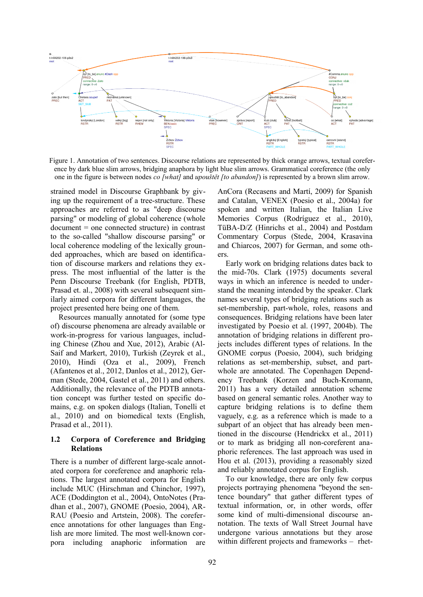

Figure 1. Annotation of two sentences. Discourse relations are represented by thick orange arrows, textual coreference by dark blue slim arrows, bridging anaphora by light blue slim arrows. Grammatical coreference (the only one in the figure is between nodes *co [what]* and *upouštět [to abandon]*) is represented by a brown slim arrow.

strained model in Discourse Graphbank by giving up the requirement of a tree-structure. These approaches are referred to as "deep discourse parsing" or modeling of global coherence (whole document = one connected structure) in contrast to the so-called "shallow discourse parsing" or local coherence modeling of the lexically grounded approaches, which are based on identification of discourse markers and relations they express. The most influential of the latter is the Penn Discourse Treebank (for English, PDTB, Prasad et. al., 2008) with several subsequent similarly aimed corpora for different languages, the project presented here being one of them.

Resources manually annotated for (some type of) discourse phenomena are already available or work-in-progress for various languages, including Chinese (Zhou and Xue, 2012), Arabic (Al-Saif and Markert, 2010), Turkish (Zeyrek et al., 2010), Hindi (Oza et al., 2009), French (Afantenos et al., 2012, Danlos et al., 2012), German (Stede, 2004, Gastel et al., 2011) and others. Additionally, the relevance of the PDTB annotation concept was further tested on specific domains, e.g. on spoken dialogs (Italian, Tonelli et al., 2010) and on biomedical texts (English, Prasad et al., 2011).

## **1.2 Corpora of Coreference and Bridging Relations**

There is a number of different large-scale annotated corpora for coreference and anaphoric relations. The largest annotated corpora for English include MUC (Hirschman and Chinchor, 1997), ACE (Doddington et al., 2004), OntoNotes (Pradhan et al., 2007), GNOME (Poesio, 2004), AR-RAU (Poesio and Artstein, 2008). The coreference annotations for other languages than English are more limited. The most well-known corpora including anaphoric information are

AnCora (Recasens and Martí, 2009) for Spanish and Catalan, VENEX (Poesio et al., 2004a) for spoken and written Italian, the Italian Live Memories Corpus (Rodríguez et al., 2010), TüBA-D/Z (Hinrichs et al., 2004) and Postdam Commentary Corpus (Stede, 2004, Krasavina and Chiarcos, 2007) for German, and some others.

Early work on bridging relations dates back to the mid-70s. Clark (1975) documents several ways in which an inference is needed to understand the meaning intended by the speaker. Clark names several types of bridging relations such as set-membership, part-whole, roles, reasons and consequences. Bridging relations have been later investigated by Poesio et al. (1997, 2004b). The annotation of bridging relations in different projects includes different types of relations. In the GNOME corpus (Poesio, 2004), such bridging relations as set-membership, subset, and partwhole are annotated. The Copenhagen Dependency Treebank (Korzen and Buch-Kromann, 2011) has a very detailed annotation scheme based on general semantic roles. Another way to capture bridging relations is to define them vaguely, e.g. as a reference which is made to a subpart of an object that has already been mentioned in the discourse (Hendrickx et al., 2011) or to mark as bridging all non-coreferent anaphoric references. The last approach was used in Hou et al. (2013), providing a reasonably sized and reliably annotated corpus for English.

To our knowledge, there are only few corpus projects portraying phenomena "beyond the sentence boundary" that gather different types of textual information, or, in other words, offer some kind of multi-dimensional discourse annotation. The texts of Wall Street Journal have undergone various annotations but they arose within different projects and frameworks – rhet-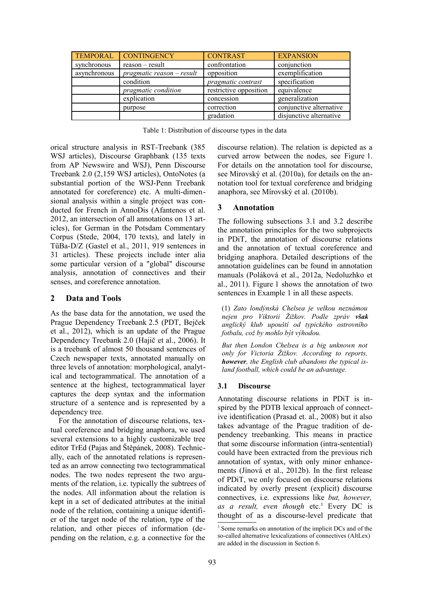| <b>TEMPORAL</b> | <b>CONTINGENCY</b>            | <b>CONTRAST</b>        | <b>EXPANSION</b>        |
|-----------------|-------------------------------|------------------------|-------------------------|
| synchronous     | $reason - result$             | confrontation          | conjunction             |
| asynchronous    | $pragmatic$ reason $-$ result | opposition             | exemplification         |
|                 | condition                     | pragmatic contrast     | specification           |
|                 | pragmatic condition           | restrictive opposition | equivalence             |
|                 | explication                   | concession             | generalization          |
|                 | purpose                       | correction             | conjunctive alternative |
|                 |                               | gradation              | disjunctive alternative |

orical structure analysis in RST-Treebank (385 WSJ articles), Discourse Graphbank (135 texts from AP Newswire and WSJ), Penn Discourse Treebank 2.0 (2,159 WSJ articles), OntoNotes (a substantial portion of the WSJ-Penn Treebank annotated for coreference) etc. A multi-dimensional analysis within a single project was conducted for French in AnnoDis (Afantenos et al. 2012, an intersection of all annotations on 13 articles), for German in the Potsdam Commentary Corpus (Stede, 2004, 170 texts), and lately in TüBa-D/Z (Gastel et al., 2011, 919 sentences in 31 articles). These projects include inter alia some particular version of a "global" discourse analysis, annotation of connectives and their senses, and coreference annotation.

#### **2 Data and Tools**

As the base data for the annotation, we used the Prague Dependency Treebank 2.5 (PDT, Bejček et al., 2012), which is an update of the Prague Dependency Treebank 2.0 (Hajič et al., 2006). It is a treebank of almost 50 thousand sentences of Czech newspaper texts, annotated manually on three levels of annotation: morphological, analytical and tectogrammatical. The annotation of a sentence at the highest, tectogrammatical layer captures the deep syntax and the information structure of a sentence and is represented by a dependency tree.

For the annotation of discourse relations, textual coreference and bridging anaphora, we used several extensions to a highly customizable tree editor TrEd (Pajas and Štěpánek, 2008). Technically, each of the annotated relations is represented as an arrow connecting two tectogrammatical nodes. The two nodes represent the two arguments of the relation, i.e. typically the subtrees of the nodes. All information about the relation is kept in a set of dedicated attributes at the initial node of the relation, containing a unique identifier of the target node of the relation, type of the relation, and other pieces of information (depending on the relation, e.g. a connective for the discourse relation). The relation is depicted as a curved arrow between the nodes, see Figure 1. For details on the annotation tool for discourse, see Mírovský et al. (2010a), for details on the annotation tool for textual coreference and bridging anaphora, see Mírovský et al. (2010b).

#### **3 Annotation**

The following subsections 3.1 and 3.2 describe the annotation principles for the two subprojects in PDiT, the annotation of discourse relations and the annotation of textual coreference and bridging anaphora. Detailed descriptions of the annotation guidelines can be found in annotation manuals (Poláková et al., 2012a, Nedoluzhko et al., 2011). Figure 1 shows the annotation of two sentences in Example 1 in all these aspects.

(1) *Zato londýnská Chelsea je velkou neznámou nejen pro Viktorii Žižkov. Podle zpráv však anglický klub upouští od typického ostrovního fotbalu, což by mohlo být výhodou.*

*But then London Chelsea is a big unknown not only for Victoria Žižkov. According to reports, however, the English club abandons the typical island football, which could be an advantage.*

#### **3.1 Discourse**

Annotating discourse relations in PDiT is inspired by the PDTB lexical approach of connective identification (Prasad et. al., 2008) but it also takes advantage of the Prague tradition of dependency treebanking. This means in practice that some discourse information (intra-sentential) could have been extracted from the previous rich annotation of syntax, with only minor enhancements (Jínová et al., 2012b). In the first release of PDiT, we only focused on discourse relations indicated by overly present (explicit) discourse connectives, i.e. expressions like *but, however,* as a result, even though etc.<sup>3</sup> Every DC is thought of as a discourse-level predicate that

<sup>&</sup>lt;sup>3</sup> Some remarks on annotation of the implicit DCs and of the so-called alternative lexicalizations of connectives (AltLex) are added in the discussion in Section 6.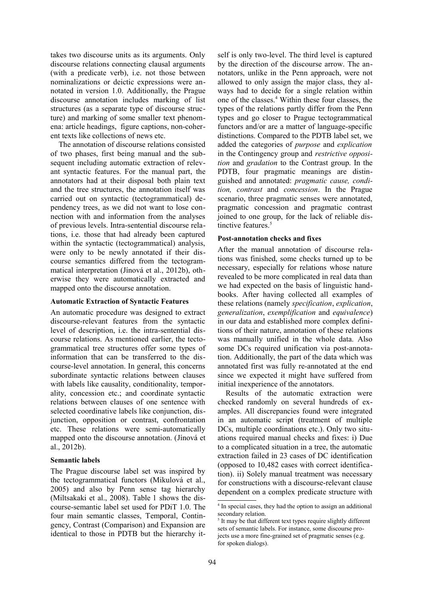takes two discourse units as its arguments. Only discourse relations connecting clausal arguments (with a predicate verb), i.e. not those between nominalizations or deictic expressions were annotated in version 1.0. Additionally, the Prague discourse annotation includes marking of list structures (as a separate type of discourse structure) and marking of some smaller text phenomena: article headings, figure captions, non-coherent texts like collections of news etc.

The annotation of discourse relations consisted of two phases, first being manual and the subsequent including automatic extraction of relevant syntactic features. For the manual part, the annotators had at their disposal both plain text and the tree structures, the annotation itself was carried out on syntactic (tectogrammatical) dependency trees, as we did not want to lose connection with and information from the analyses of previous levels. Intra-sentential discourse relations, i.e. those that had already been captured within the syntactic (tectogrammatical) analysis, were only to be newly annotated if their discourse semantics differed from the tectogrammatical interpretation (Jínová et al., 2012b), otherwise they were automatically extracted and mapped onto the discourse annotation.

#### **Automatic Extraction of Syntactic Features**

An automatic procedure was designed to extract discourse-relevant features from the syntactic level of description, i.e. the intra-sentential discourse relations. As mentioned earlier, the tectogrammatical tree structures offer some types of information that can be transferred to the discourse-level annotation. In general, this concerns subordinate syntactic relations between clauses with labels like causality, conditionality, temporality, concession etc.; and coordinate syntactic relations between clauses of one sentence with selected coordinative labels like conjunction, disjunction, opposition or contrast, confrontation etc. These relations were semi-automatically mapped onto the discourse annotation. (Jínová et al., 2012b).

## **Semantic labels**

The Prague discourse label set was inspired by the tectogrammatical functors (Mikulová et al., 2005) and also by Penn sense tag hierarchy (Miltsakaki et al., 2008). Table 1 shows the discourse-semantic label set used for PDiT 1.0. The four main semantic classes, Temporal, Contingency, Contrast (Comparison) and Expansion are identical to those in PDTB but the hierarchy it-

self is only two-level. The third level is captured by the direction of the discourse arrow. The annotators, unlike in the Penn approach, were not allowed to only assign the major class, they always had to decide for a single relation within one of the classes.<sup>4</sup> Within these four classes, the types of the relations partly differ from the Penn types and go closer to Prague tectogrammatical functors and/or are a matter of language-specific distinctions. Compared to the PDTB label set, we added the categories of *purpose* and *explication* in the Contingency group and *restrictive opposition* and *gradation* to the Contrast group. In the PDTB, four pragmatic meanings are distinguished and annotated: *pragmatic cause, condition, contrast* and *concession*. In the Prague scenario, three pragmatic senses were annotated, pragmatic concession and pragmatic contrast joined to one group, for the lack of reliable distinctive features<sup>5</sup>

### **Post-annotation checks and fixes**

After the manual annotation of discourse relations was finished, some checks turned up to be necessary, especially for relations whose nature revealed to be more complicated in real data than we had expected on the basis of linguistic handbooks. After having collected all examples of these relations (namely *specification*, *explication*, *generalization*, *exemplification* and *equivalence*) in our data and established more complex definitions of their nature, annotation of these relations was manually unified in the whole data. Also some DCs required unification via post-annotation. Additionally, the part of the data which was annotated first was fully re-annotated at the end since we expected it might have suffered from initial inexperience of the annotators.

Results of the automatic extraction were checked randomly on several hundreds of examples. All discrepancies found were integrated in an automatic script (treatment of multiple DCs, multiple coordinations etc.). Only two situations required manual checks and fixes: i) Due to a complicated situation in a tree, the automatic extraction failed in 23 cases of DC identification (opposed to 10,482 cases with correct identification). ii) Solely manual treatment was necessary for constructions with a discourse-relevant clause dependent on a complex predicate structure with

<sup>4</sup> In special cases, they had the option to assign an additional secondary relation.

<sup>&</sup>lt;sup>5</sup> It may be that different text types require slightly different sets of semantic labels. For instance, some discourse projects use a more fine-grained set of pragmatic senses (e.g. for spoken dialogs).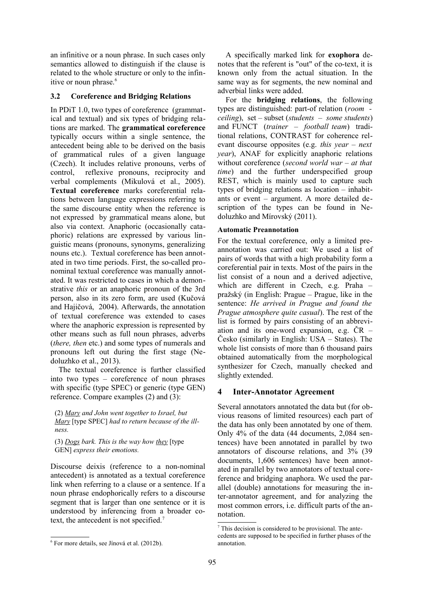an infinitive or a noun phrase. In such cases only semantics allowed to distinguish if the clause is related to the whole structure or only to the infinitive or noun phrase.<sup>6</sup>

# **3.2 Coreference and Bridging Relations**

In PDiT 1.0, two types of coreference (grammatical and textual) and six types of bridging relations are marked. The **grammatical coreference** typically occurs within a single sentence, the antecedent being able to be derived on the basis of grammatical rules of a given language (Czech). It includes relative pronouns, verbs of control, reflexive pronouns, reciprocity and verbal complements (Mikulová et al., 2005). **Textual coreference** marks coreferential relations between language expressions referring to the same discourse entity when the reference is not expressed by grammatical means alone, but also via context. Anaphoric (occasionally cataphoric) relations are expressed by various linguistic means (pronouns, synonyms, generalizing nouns etc.). Textual coreference has been annotated in two time periods. First, the so-called pronominal textual coreference was manually annotated. It was restricted to cases in which a demonstrative *this* or an anaphoric pronoun of the 3rd person, also in its zero form, are used (Kučová and Hajičová, 2004). Afterwards, the annotation of textual coreference was extended to cases where the anaphoric expression is represented by other means such as full noun phrases, adverbs (*there, then* etc.) and some types of numerals and pronouns left out during the first stage (Nedoluzhko et al., 2013).

The textual coreference is further classified into two types – coreference of noun phrases with specific (type SPEC) or generic (type GEN) reference. Compare examples (2) and (3):

(2) *Mary and John went together to Israel, but Mary* [type SPEC] *had to return because of the illness.*

(3) *Dogs bark. This is the way how they* [type GEN] *express their emotions.*

Discourse deixis (reference to a non-nominal antecedent) is annotated as a textual coreference link when referring to a clause or a sentence. If a noun phrase endophorically refers to a discourse segment that is larger than one sentence or it is understood by inferencing from a broader cotext, the antecedent is not specified.<sup>7</sup>

A specifically marked link for **exophora** denotes that the referent is "out" of the co-text, it is known only from the actual situation. In the same way as for segments, the new nominal and adverbial links were added.

For the **bridging relations**, the following types are distinguished: part-of relation (*room ceiling*), set – subset (*students – some students*) and FUNCT (*trainer – football team*) traditional relations, CONTRAST for coherence relevant discourse opposites (e.g. *this year – next year*), ANAF for explicitly anaphoric relations without coreference (*second world war – at that time*) and the further underspecified group REST, which is mainly used to capture such types of bridging relations as location – inhabitants or event – argument. A more detailed description of the types can be found in Nedoluzhko and Mírovský (2011).

# **Automatic Preannotation**

For the textual coreference, only a limited preannotation was carried out: We used a list of pairs of words that with a high probability form a coreferential pair in texts. Most of the pairs in the list consist of a noun and a derived adjective, which are different in Czech, e.g. Praha – pražský (in English: Prague – Prague, like in the sentence: *He arrived in Prague and found the Prague atmosphere quite casual*). The rest of the list is formed by pairs consisting of an abbreviation and its one-word expansion, e.g. ČR – Česko (similarly in English: USA – States). The whole list consists of more than 6 thousand pairs obtained automatically from the morphological synthesizer for Czech, manually checked and slightly extended.

# **4 Inter-Annotator Agreement**

Several annotators annotated the data but (for obvious reasons of limited resources) each part of the data has only been annotated by one of them. Only 4% of the data (44 documents, 2,084 sentences) have been annotated in parallel by two annotators of discourse relations, and 3% (39 documents, 1,606 sentences) have been annotated in parallel by two annotators of textual coreference and bridging anaphora. We used the parallel (double) annotations for measuring the inter-annotator agreement, and for analyzing the most common errors, i.e. difficult parts of the annotation.

<sup>6</sup> For more details, see Jínová et al. (2012b).

<sup>7</sup> This decision is considered to be provisional. The antecedents are supposed to be specified in further phases of the annotation.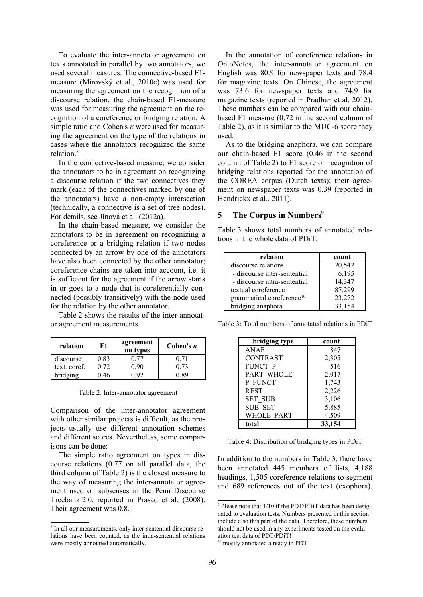To evaluate the inter-annotator agreement on texts annotated in parallel by two annotators, we used several measures. The connective-based F1 measure (Mírovský et al., 2010c) was used for measuring the agreement on the recognition of a discourse relation, the chain-based F1-measure was used for measuring the agreement on the recognition of a coreference or bridging relation. A simple ratio and Cohen's *κ* were used for measuring the agreement on the type of the relations in cases where the annotators recognized the same relation. 8

In the connective-based measure, we consider the annotators to be in agreement on recognizing a discourse relation if the two connectives they mark (each of the connectives marked by one of the annotators) have a non-empty intersection (technically, a connective is a set of tree nodes). For details, see Jínová et al. (2012a).

In the chain-based measure, we consider the annotators to be in agreement on recognizing a coreference or a bridging relation if two nodes connected by an arrow by one of the annotators have also been connected by the other annotator; coreference chains are taken into account, i.e. it is sufficient for the agreement if the arrow starts in or goes to a node that is coreferentially connected (possibly transitively) with the node used for the relation by the other annotator.

Table 2 shows the results of the inter-annotator agreement measurements.

| relation     | F1   | agreement<br>on types | Cohen's $\kappa$ |
|--------------|------|-----------------------|------------------|
| discourse    | 0.83 |                       | O 71             |
| text. coref. | 0.72 | 0 90                  | 0.73             |
| bridging     |      |                       | - RQ             |

Table 2: Inter-annotator agreement

Comparison of the inter-annotator agreement with other similar projects is difficult, as the projects usually use different annotation schemes and different scores. Nevertheless, some comparisons can be done:

The simple ratio agreement on types in discourse relations (0.77 on all parallel data, the third column of Table 2) is the closest measure to the way of measuring the inter-annotator agreement used on subsenses in the Penn Discourse Treebank 2.0, reported in Prasad et al. (2008). Their agreement was 0.8.

In the annotation of coreference relations in OntoNotes, the inter-annotator agreement on English was 80.9 for newspaper texts and 78.4 for magazine texts. On Chinese, the agreement was 73.6 for newspaper texts and 74.9 for magazine texts (reported in Pradhan et al. 2012). These numbers can be compared with our chainbased F1 measure (0.72 in the second column of Table 2), as it is similar to the MUC-6 score they used.

As to the bridging anaphora, we can compare our chain-based F1 score (0.46 in the second column of Table 2) to F1 score on recognition of bridging relations reported for the annotation of the COREA corpus (Dutch texts); their agreement on newspaper texts was 0.39 (reported in Hendrickx et al., 2011).

# **5 The Corpus in Numbers<sup>9</sup>**

Table 3 shows total numbers of annotated relations in the whole data of PDiT.

| relation                              | count  |
|---------------------------------------|--------|
| discourse relations                   | 20,542 |
| - discourse inter-sentential          | 6,195  |
| - discourse intra-sentential          | 14,347 |
| textual coreference                   | 87,299 |
| grammatical coreference <sup>10</sup> | 23,272 |
| bridging anaphora                     | 33,154 |

Table 3: Total numbers of annotated relations in PDiT

| bridging type     | count  |
|-------------------|--------|
| ANAF              | 847    |
| <b>CONTRAST</b>   | 2,305  |
| FUNCT P           | 516    |
| PART WHOLE        | 2,017  |
| P FUNCT           | 1,743  |
| <b>REST</b>       | 2,226  |
| <b>SET SUB</b>    | 13,106 |
| <b>SUB SET</b>    | 5,885  |
| <b>WHOLE PART</b> | 4,509  |
| total             | 33,154 |

Table 4: Distribution of bridging types in PDiT

In addition to the numbers in Table 3, there have been annotated 445 members of lists, 4,188 headings, 1,505 coreference relations to segment and 689 references out of the text (exophora).

<sup>8</sup> In all our measurements, only inter-sentential discourse relations have been counted, as the intra-sentential relations were mostly annotated automatically.

<sup>&</sup>lt;sup>9</sup> Please note that 1/10 if the PDT/PDiT data has been designated to evaluation tests. Numbers presented in this section include also this part of the data. Therefore, these numbers should not be used in any experiments tested on the evaluation test data of PDT/PDiT!

<sup>&</sup>lt;sup>10</sup> mostly annotated already in PDT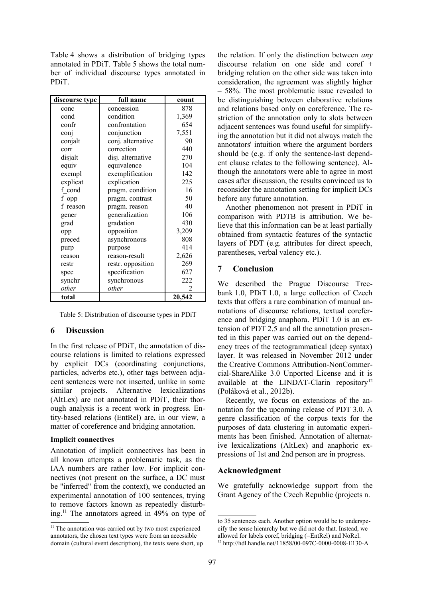Table 4 shows a distribution of bridging types annotated in PDiT. Table 5 shows the total number of individual discourse types annotated in PDiT.

| discourse type | full name         | count  |
|----------------|-------------------|--------|
| conc           | concession        | 878    |
| cond           | condition         | 1,369  |
| confr          | confrontation     | 654    |
| conj           | conjunction       | 7,551  |
| conjalt        | conj. alternative | 90     |
| corr           | correction        | 440    |
| disjalt        | disj. alternative | 270    |
| equiv          | equivalence       | 104    |
| exempl         | exemplification   | 142    |
| explicat       | explication       | 225    |
| f cond         | pragm. condition  | 16     |
| f opp          | pragm. contrast   | 50     |
| f reason       | pragm. reason     | 40     |
| gener          | generalization    | 106    |
| grad           | gradation         | 430    |
| opp            | opposition        | 3,209  |
| preced         | asynchronous      | 808    |
| purp           | purpose           | 414    |
| reason         | reason-result     | 2,626  |
| restr          | restr. opposition | 269    |
| spec           | specification     | 627    |
| synchr         | synchronous       | 222    |
| other          | other             | 2      |
| total          |                   | 20,542 |

Table 5: Distribution of discourse types in PDiT

## **6 Discussion**

In the first release of PDiT, the annotation of discourse relations is limited to relations expressed by explicit DCs (coordinating conjunctions, particles, adverbs etc.), other tags between adjacent sentences were not inserted, unlike in some similar projects. Alternative lexicalizations (AltLex) are not annotated in PDiT, their thorough analysis is a recent work in progress. Entity-based relations (EntRel) are, in our view, a matter of coreference and bridging annotation.

#### **Implicit connectives**

Annotation of implicit connectives has been in all known attempts a problematic task, as the IAA numbers are rather low. For implicit connectives (not present on the surface, a DC must be "inferred" from the context), we conducted an experimental annotation of 100 sentences, trying to remove factors known as repeatedly disturbing.<sup>11</sup> The annotators agreed in 49% on type of

the relation. If only the distinction between *any* discourse relation on one side and coref + bridging relation on the other side was taken into consideration, the agreement was slightly higher – 58%. The most problematic issue revealed to be distinguishing between elaborative relations and relations based only on coreference. The restriction of the annotation only to slots between adjacent sentences was found useful for simplifying the annotation but it did not always match the annotators' intuition where the argument borders should be (e.g. if only the sentence-last dependent clause relates to the following sentence). Although the annotators were able to agree in most cases after discussion, the results convinced us to reconsider the annotation setting for implicit DCs before any future annotation.

Another phenomenon not present in PDiT in comparison with PDTB is attribution. We believe that this information can be at least partially obtained from syntactic features of the syntactic layers of PDT (e.g. attributes for direct speech, parentheses, verbal valency etc.).

### **7 Conclusion**

We described the Prague Discourse Treebank 1.0, PDiT 1.0, a large collection of Czech texts that offers a rare combination of manual annotations of discourse relations, textual coreference and bridging anaphora. PDiT 1.0 is an extension of PDT 2.5 and all the annotation presented in this paper was carried out on the dependency trees of the tectogrammatical (deep syntax) layer. It was released in November 2012 under the Creative Commons Attribution-NonCommercial-ShareAlike 3.0 Unported License and it is available at the LINDAT-Clarin repository<sup>12</sup> (Poláková et al., 2012b).

Recently, we focus on extensions of the annotation for the upcoming release of PDT 3.0. A genre classification of the corpus texts for the purposes of data clustering in automatic experiments has been finished. Annotation of alternative lexicalizations (AltLex) and anaphoric expressions of 1st and 2nd person are in progress.

#### **Acknowledgment**

We gratefully acknowledge support from the Grant Agency of the Czech Republic (projects n.

<sup>&</sup>lt;sup>11</sup> The annotation was carried out by two most experienced annotators, the chosen text types were from an accessible domain (cultural event description), the texts were short, up

to 35 sentences each. Another option would be to underspecify the sense hierarchy but we did not do that. Instead, we allowed for labels coref, bridging (=EntRel) and NoRel.

<sup>12</sup> http://hdl.handle.net/11858/00-097C-0000-0008-E130-A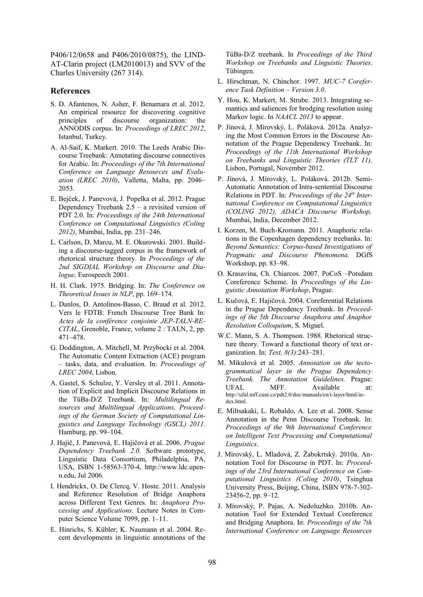P406/12/0658 and P406/2010/0875), the LIND-AT-Clarin project (LM2010013) and SVV of the Charles University (267 314).

#### **References**

- S. D. Afantenos, N. Asher, F. Benamara et al. 2012. An empirical resource for discovering cognitive principles of discourse organization: the ANNODIS corpus. In: *Proceedings of LREC 2012*, Istanbul, Turkey.
- A. Al-Saif, K. Markert. 2010. The Leeds Arabic Discourse Treebank: Annotating discourse connectives for Arabic. In: *Proceedings of the 7th International Conference on Language Resources and Evaluation (LREC 2010)*, Valletta, Malta, pp. 2046– 2053.
- E. Bejček, J. Panevová, J. Popelka et al. 2012. Prague Dependency Treebank  $2.5 - a$  revisited version of PDT 2.0. In: *Proceedings of the 24th International Conference on Computational Linguistics (Coling 2012)*, Mumbai, India, pp. 231–246.
- L. Carlson, D. Marcu, M. E. Okurowski. 2001. Building a discourse-tagged corpus in the framework of rhetorical structure theory. In *Proceedings of the 2nd SIGDIAL Workshop on Discourse and Dialogue,* Eurospeech 2001.
- H. H. Clark. 1975. Bridging. In: *The Conference on Theoretical Issues in NLP*, pp. 169–174.
- L. Danlos, D. Antolinos-Basso, C. Braud et al. 2012. Vers le FDTB: French Discourse Tree Bank In: *Actes de la conférence conjointe JEP-TALN-RE-CITAL*, Grenoble, France, volume 2 : TALN, 2, pp. 471–478.
- G. Doddington, A. Mitchell, M. Przybocki et al. 2004. The Automatic Content Extraction (ACE) program – tasks, data, and evaluation. In: *Proceedings of LREC 2004*, Lisbon.
- A. Gastel, S. Schulze, Y. Versley et al. 2011. Annotation of Explicit and Implicit Discourse Relations in the TüBa-D/Z Treebank. In: *Multilingual Resources and Multilingual Applications, Proceedings of the German Society of Computational Linguistics and Language Technology (GSCL) 2011*. Hamburg, pp. 99–104.
- J. Hajič, J. Panevová, E. Hajičová et al. 2006. *Prague Dependency Treebank 2.0.* Software prototype, Linguistic Data Consortium, Philadelphia, PA, USA, ISBN 1-58563-370-4, http://www.ldc.upenn.edu, Jul 2006.
- I. Hendrickx, O. De Clercq, V. Hoste. 2011. Analysis and Reference Resolution of Bridge Anaphora across Different Text Genres. In: *Anaphora Processing and Applications.* Lecture Notes in Computer Science Volume 7099, pp. 1–11.
- E. Hinrichs, S. Kübler; K. Naumann et al. 2004. Recent developments in linguistic annotations of the

TüBa-D/Z treebank. In *Proceedings of the Third Workshop on Treebanks and Linguistic Theories*. Tübingen.

- L. Hirschman, N. Chinchor. 1997. *MUC-7 Coreference Task Definition – Version 3.0*.
- Y. Hou, K. Markert, M. Strube. 2013. Integrating semantics and saliences for brodging resolution using Markov logic. In *NAACL 2013* to appear.
- P. Jínová, J. Mírovský, L. Poláková. 2012a. Analyzing the Most Common Errors in the Discourse Annotation of the Prague Dependency Treebank. In: *Proceedings of the 11th International Workshop on Treebanks and Linguistic Theories (TLT 11),* Lisbon, Portugal, November 2012.
- P. Jínová, J. Mírovský, L. Poláková. 2012b. Semi-Automatic Annotation of Intra-sentential Discourse Relations in PDT. In: *Proceedings of the 24th International Conference on Computational Linguistics (COLING 2012), ADACA Discourse Workshop,* Mumbai, India, December 2012.
- I. Korzen, M. Buch-Kromann. 2011. Anaphoric relations in the Copenhagen dependency treebanks. In: *Beyond Semantics: Corpus-based Investigations of Pragmatic and Discourse Phenomena.* DGfS Workshop, pp. 83–98.
- O. Krasavina, Ch. Chiarcos. 2007. PoCoS –Potsdam Coreference Scheme. In *Proceedings of the Linguistic Annotation Workshop*, Prague.
- L. Kučová, E. Hajičová. 2004. Coreferential Relations in the Prague Dependency Treebank. In *Proceedings of the 5th Discourse Anaphora and Anaphor Resolution Colloquium*, S. Miguel.
- W.C. Mann, S. A. Thompson. 1988. Rhetorical structure theory. Toward a functional theory of text organization. In: *Text, 8(3)*:243–281.
- M. Mikulová et al. 2005. *Annotation on the tectogrammatical layer in the Prague Dependency Treebank. The Annotation Guidelines.* Prague: UFAL MFF. Available at: http://ufal.mff.cuni.cz/pdt2.0/doc/manuals/en/t-layer/html/index.html.
- E. Miltsakaki, L. Robaldo, A. Lee et al. 2008. Sense Annotation in the Penn Discourse Treebank. In: *Proceedings of the 9th International Conference on Intelligent Text Processing and Computational Linguistics*.
- J. Mírovský, L. Mladová, Z. Žabokrtský. 2010a. Annotation Tool for Discourse in PDT. In: *Proceedings of the 23rd International Conference on Computational Linguistics (Coling 2010)*, Tsinghua University Press, Beijing, China, ISBN 978-7-302- 23456-2, pp. 9–12.
- J. Mírovský, P. Pajas, A. Nedoluzhko. 2010b. Annotation Tool for Extended Textual Coreference and Bridging Anaphora. In: *Proceedings of the 7th International Conference on Language Resources*